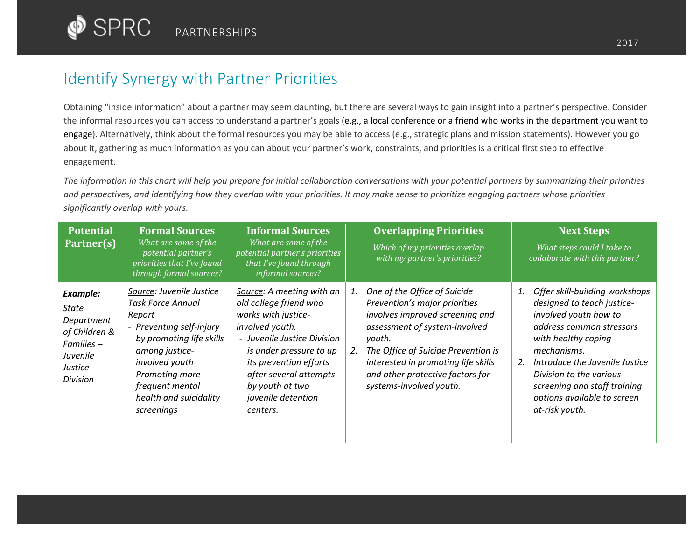## Identify Synergy with Partner Priorities

Obtaining "inside information" about a partner may seem daunting, but there are several ways to gain insight into a partner's perspective. Consider the informal resources you can access to understand a partner's goals (e.g., a local conference or a friend who works in the department you want to engage). Alternatively, think about the formal resources you may be able to access (e.g., strategic plans and mission statements). However you go about it, gathering as much information as you can about your partner's work, constraints, and priorities is a critical first step to effective engagement.

*The information in this chart will help you prepare for initial collaboration conversations with your potential partners by summarizing their priorities and perspectives, and identifying how they overlap with your priorities. It may make sense to prioritize engaging partners whose priorities significantly overlap with yours.* 

| <b>Potential</b><br>Partner(s)                                                                                  | <b>Formal Sources</b><br>What are some of the<br>potential partner's<br>priorities that I've found<br>through formal sources?                                                                                                             | <b>Informal Sources</b><br>What are some of the<br>potential partner's priorities<br>that I've found through<br>informal sources?                                                                                                                                | <b>Overlapping Priorities</b><br>Which of my priorities overlap<br>with my partner's priorities?                                                                                                                                                                                                     | <b>Next Steps</b><br>What steps could I take to<br>collaborate with this partner?                                                                                                                                                                                                                                 |
|-----------------------------------------------------------------------------------------------------------------|-------------------------------------------------------------------------------------------------------------------------------------------------------------------------------------------------------------------------------------------|------------------------------------------------------------------------------------------------------------------------------------------------------------------------------------------------------------------------------------------------------------------|------------------------------------------------------------------------------------------------------------------------------------------------------------------------------------------------------------------------------------------------------------------------------------------------------|-------------------------------------------------------------------------------------------------------------------------------------------------------------------------------------------------------------------------------------------------------------------------------------------------------------------|
| <b>Example:</b><br>State<br>Department<br>of Children &<br>Families -<br>Juvenile<br>Justice<br><b>Division</b> | Source: Juvenile Justice<br><b>Task Force Annual</b><br>Report<br>- Preventing self-injury<br>by promoting life skills<br>among justice-<br>involved youth<br>- Promoting more<br>frequent mental<br>health and suicidality<br>screenings | Source: A meeting with an<br>old college friend who<br>works with justice-<br>involved youth.<br>- Juvenile Justice Division<br>is under pressure to up<br>its prevention efforts<br>after several attempts<br>by youth at two<br>juvenile detention<br>centers. | One of the Office of Suicide<br>1.<br>Prevention's major priorities<br>involves improved screening and<br>assessment of system-involved<br>youth.<br>The Office of Suicide Prevention is<br>2.<br>interested in promoting life skills<br>and other protective factors for<br>systems-involved youth. | Offer skill-building workshops<br>1.<br>designed to teach justice-<br>involved youth how to<br>address common stressors<br>with healthy coping<br>mechanisms.<br>Introduce the Juvenile Justice<br>2.<br>Division to the various<br>screening and staff training<br>options available to screen<br>at-risk youth. |